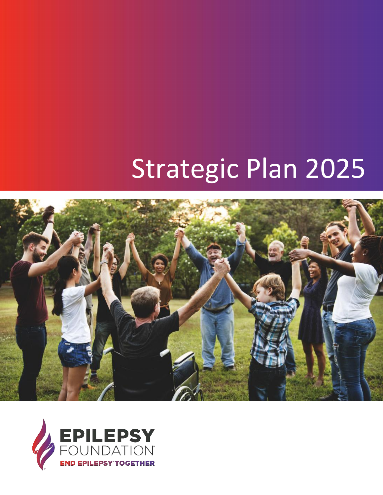# Strategic Plan 2025



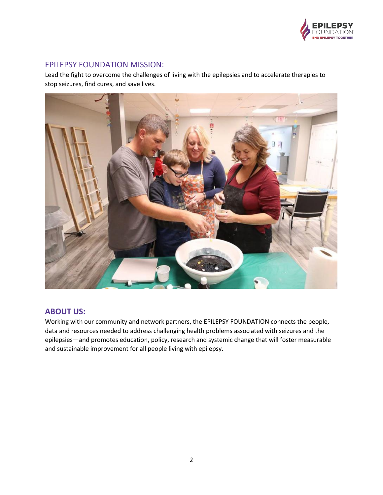

### EPILEPSY FOUNDATION MISSION:

Lead the fight to overcome the challenges of living with the epilepsies and to accelerate therapies to stop seizures, find cures, and save lives.



## **ABOUT US:**

Working with our community and network partners, the EPILEPSY FOUNDATION connects the people, data and resources needed to address challenging health problems associated with seizures and the epilepsies—and promotes education, policy, research and systemic change that will foster measurable and sustainable improvement for all people living with epilepsy.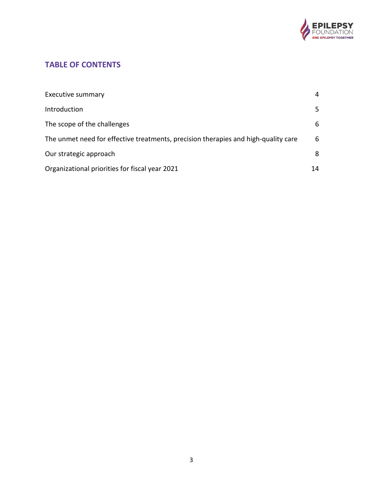

# **TABLE OF CONTENTS**

| <b>Executive summary</b>                                                           | 4  |
|------------------------------------------------------------------------------------|----|
| Introduction                                                                       | 5  |
| The scope of the challenges                                                        | 6  |
| The unmet need for effective treatments, precision therapies and high-quality care | 6  |
| Our strategic approach                                                             | 8  |
| Organizational priorities for fiscal year 2021                                     | 14 |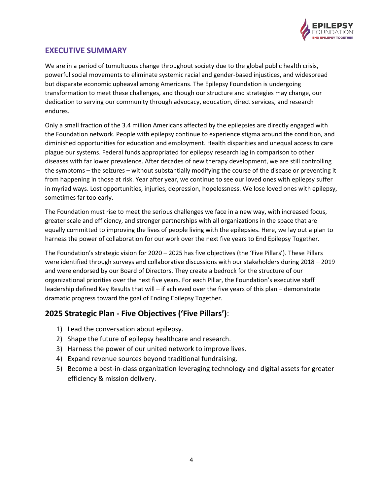

# **EXECUTIVE SUMMARY**

We are in a period of tumultuous change throughout society due to the global public health crisis, powerful social movements to eliminate systemic racial and gender-based injustices, and widespread but disparate economic upheaval among Americans. The Epilepsy Foundation is undergoing transformation to meet these challenges, and though our structure and strategies may change, our dedication to serving our community through advocacy, education, direct services, and research endures.

Only a small fraction of the 3.4 million Americans affected by the epilepsies are directly engaged with the Foundation network. People with epilepsy continue to experience stigma around the condition, and diminished opportunities for education and employment. Health disparities and unequal access to care plague our systems. Federal funds appropriated for epilepsy research lag in comparison to other diseases with far lower prevalence. After decades of new therapy development, we are still controlling the symptoms – the seizures – without substantially modifying the course of the disease or preventing it from happening in those at risk. Year after year, we continue to see our loved ones with epilepsy suffer in myriad ways. Lost opportunities, injuries, depression, hopelessness. We lose loved ones with epilepsy, sometimes far too early.

The Foundation must rise to meet the serious challenges we face in a new way, with increased focus, greater scale and efficiency, and stronger partnerships with all organizations in the space that are equally committed to improving the lives of people living with the epilepsies. Here, we lay out a plan to harness the power of collaboration for our work over the next five years to End Epilepsy Together.

The Foundation's strategic vision for 2020 – 2025 has five objectives (the 'Five Pillars'). These Pillars were identified through surveys and collaborative discussions with our stakeholders during 2018 – 2019 and were endorsed by our Board of Directors. They create a bedrock for the structure of our organizational priorities over the next five years. For each Pillar, the Foundation's executive staff leadership defined Key Results that will – if achieved over the five years of this plan – demonstrate dramatic progress toward the goal of Ending Epilepsy Together.

# **2025 Strategic Plan - Five Objectives ('Five Pillars')**:

- 1) Lead the conversation about epilepsy.
- 2) Shape the future of epilepsy healthcare and research.
- 3) Harness the power of our united network to improve lives.
- 4) Expand revenue sources beyond traditional fundraising.
- 5) Become a best-in-class organization leveraging technology and digital assets for greater efficiency & mission delivery.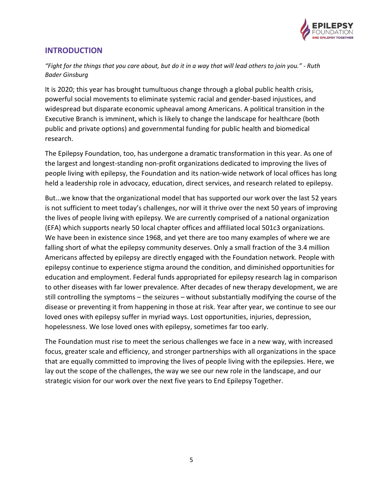

# **INTRODUCTION**

*"Fight for the things that you care about, but do it in a way that will lead others to join you." - Ruth Bader Ginsburg*

It is 2020; this year has brought tumultuous change through a global public health crisis, powerful social movements to eliminate systemic racial and gender-based injustices, and widespread but disparate economic upheaval among Americans. A political transition in the Executive Branch is imminent, which is likely to change the landscape for healthcare (both public and private options) and governmental funding for public health and biomedical research.

The Epilepsy Foundation, too, has undergone a dramatic transformation in this year. As one of the largest and longest-standing non-profit organizations dedicated to improving the lives of people living with epilepsy, the Foundation and its nation-wide network of local offices has long held a leadership role in advocacy, education, direct services, and research related to epilepsy.

But...we know that the organizational model that has supported our work over the last 52 years is not sufficient to meet today's challenges, nor will it thrive over the next 50 years of improving the lives of people living with epilepsy. We are currently comprised of a national organization (EFA) which supports nearly 50 local chapter offices and affiliated local 501c3 organizations. We have been in existence since 1968, and yet there are too many examples of where we are falling short of what the epilepsy community deserves. Only a small fraction of the 3.4 million Americans affected by epilepsy are directly engaged with the Foundation network. People with epilepsy continue to experience stigma around the condition, and diminished opportunities for education and employment. Federal funds appropriated for epilepsy research lag in comparison to other diseases with far lower prevalence. After decades of new therapy development, we are still controlling the symptoms – the seizures – without substantially modifying the course of the disease or preventing it from happening in those at risk. Year after year, we continue to see our loved ones with epilepsy suffer in myriad ways. Lost opportunities, injuries, depression, hopelessness. We lose loved ones with epilepsy, sometimes far too early.

The Foundation must rise to meet the serious challenges we face in a new way, with increased focus, greater scale and efficiency, and stronger partnerships with all organizations in the space that are equally committed to improving the lives of people living with the epilepsies. Here, we lay out the scope of the challenges, the way we see our new role in the landscape, and our strategic vision for our work over the next five years to End Epilepsy Together.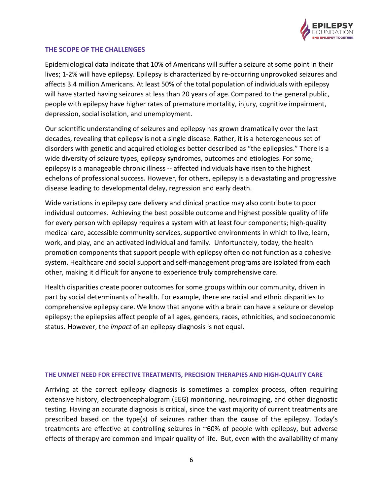

#### **THE SCOPE OF THE CHALLENGES**

Epidemiological data indicate that 10% of Americans will suffer a seizure at some point in their lives; 1-2% will have epilepsy. Epilepsy is characterized by re-occurring unprovoked seizures and affects 3.4 million Americans. At least 50% of the total population of individuals with epilepsy will have started having seizures at less than 20 years of age. Compared to the general public, people with epilepsy have higher rates of premature mortality, injury, cognitive impairment, depression, social isolation, and unemployment.

Our scientific understanding of seizures and epilepsy has grown dramatically over the last decades, revealing that epilepsy is not a single disease. Rather, it is a heterogeneous set of disorders with genetic and acquired etiologies better described as "the epilepsies." There is a wide diversity of seizure types, epilepsy syndromes, outcomes and etiologies. For some, epilepsy is a manageable chronic illness -- affected individuals have risen to the highest echelons of professional success. However, for others, epilepsy is a devastating and progressive disease leading to developmental delay, regression and early death.

Wide variations in epilepsy care delivery and clinical practice may also contribute to poor individual outcomes. Achieving the best possible outcome and highest possible quality of life for every person with epilepsy requires a system with at least four components; high-quality medical care, accessible community services, supportive environments in which to live, learn, work, and play, and an activated individual and family. Unfortunately, today, the health promotion components that support people with epilepsy often do not function as a cohesive system. Healthcare and social support and self-management programs are isolated from each other, making it difficult for anyone to experience truly comprehensive care.

Health disparities create poorer outcomes for some groups within our community, driven in part by social determinants of health. For example, there are racial and ethnic disparities to comprehensive epilepsy care.We know that anyone with a brain can have a seizure or develop epilepsy; the epilepsies affect people of all ages, genders, races, ethnicities, and socioeconomic status. However, the *impact* of an epilepsy diagnosis is not equal.

#### **THE UNMET NEED FOR EFFECTIVE TREATMENTS, PRECISION THERAPIES AND HIGH-QUALITY CARE**

Arriving at the correct epilepsy diagnosis is sometimes a complex process, often requiring extensive history, electroencephalogram (EEG) monitoring, neuroimaging, and other diagnostic testing. Having an accurate diagnosis is critical, since the vast majority of current treatments are prescribed based on the type(s) of seizures rather than the cause of the epilepsy. Today's treatments are effective at controlling seizures in ~60% of people with epilepsy, but adverse effects of therapy are common and impair quality of life. But, even with the availability of many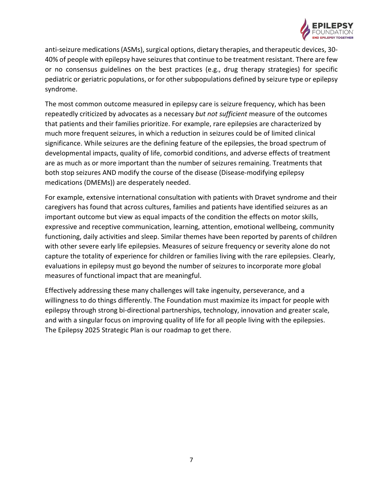

anti-seizure medications (ASMs), surgical options, dietary therapies, and therapeutic devices, 30- 40% of people with epilepsy have seizures that continue to be treatment resistant. There are few or no consensus guidelines on the best practices (e.g., drug therapy strategies) for specific pediatric or geriatric populations, or for other subpopulations defined by seizure type or epilepsy syndrome.

The most common outcome measured in epilepsy care is seizure frequency, which has been repeatedly criticized by advocates as a necessary *but not sufficient* measure of the outcomes that patients and their families prioritize. For example, rare epilepsies are characterized by much more frequent seizures, in which a reduction in seizures could be of limited clinical significance. While seizures are the defining feature of the epilepsies, the broad spectrum of developmental impacts, quality of life, comorbid conditions, and adverse effects of treatment are as much as or more important than the number of seizures remaining. Treatments that both stop seizures AND modify the course of the disease (Disease-modifying epilepsy medications (DMEMs)) are desperately needed.

For example, extensive international consultation with patients with Dravet syndrome and their caregivers has found that across cultures, families and patients have identified seizures as an important outcome but view as equal impacts of the condition the effects on motor skills, expressive and receptive communication, learning, attention, emotional wellbeing, community functioning, daily activities and sleep. Similar themes have been reported by parents of children with other severe early life epilepsies. Measures of seizure frequency or severity alone do not capture the totality of experience for children or families living with the rare epilepsies. Clearly, evaluations in epilepsy must go beyond the number of seizures to incorporate more global measures of functional impact that are meaningful.

Effectively addressing these many challenges will take ingenuity, perseverance, and a willingness to do things differently. The Foundation must maximize its impact for people with epilepsy through strong bi-directional partnerships, technology, innovation and greater scale, and with a singular focus on improving quality of life for all people living with the epilepsies. The Epilepsy 2025 Strategic Plan is our roadmap to get there.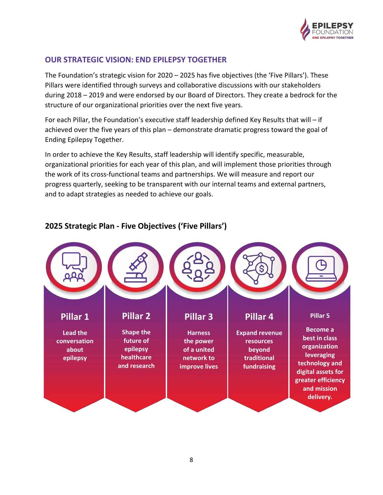

# **OUR STRATEGIC VISION: END EPILEPSY TOGETHER**

The Foundation's strategic vision for 2020 – 2025 has five objectives (the 'Five Pillars'). These Pillars were identified through surveys and collaborative discussions with our stakeholders during 2018 – 2019 and were endorsed by our Board of Directors. They create a bedrock for the structure of our organizational priorities over the next five years.

For each Pillar, the Foundation's executive staff leadership defined Key Results that will – if achieved over the five years of this plan – demonstrate dramatic progress toward the goal of Ending Epilepsy Together.

In order to achieve the Key Results, staff leadership will identify specific, measurable, organizational priorities for each year of this plan, and will implement those priorities through the work of its cross-functional teams and partnerships. We will measure and report our progress quarterly, seeking to be transparent with our internal teams and external partners, and to adapt strategies as needed to achieve our goals.



# **2025 Strategic Plan - Five Objectives ('Five Pillars')**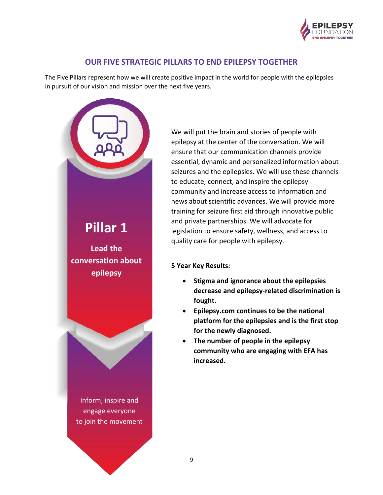

## **OUR FIVE STRATEGIC PILLARS TO END EPILEPSY TOGETHER**

The Five Pillars represent how we will create positive impact in the world for people with the epilepsies in pursuit of our vision and mission over the next five years.



We will put the brain and stories of people with epilepsy at the center of the conversation. We will ensure that our communication channels provide essential, dynamic and personalized information about seizures and the epilepsies. We will use these channels to educate, connect, and inspire the epilepsy community and increase access to information and news about scientific advances. We will provide more training for seizure first aid through innovative public and private partnerships. We will advocate for legislation to ensure safety, wellness, and access to quality care for people with epilepsy.

- **Stigma and ignorance about the epilepsies decrease and epilepsy-related discrimination is fought.**
- **Epilepsy.com continues to be the national platform for the epilepsies and is the first stop for the newly diagnosed.**
- **The number of people in the epilepsy community who are engaging with EFA has increased.**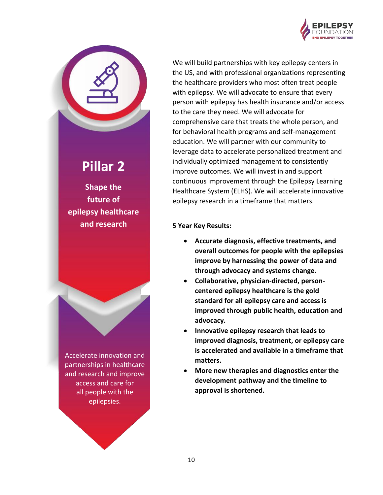

We will build partnerships with key epilepsy centers in the US, and with professional organizations representing the healthcare providers who most often treat people with epilepsy. We will advocate to ensure that every person with epilepsy has health insurance and/or access to the care they need. We will advocate for comprehensive care that treats the whole person, and for behavioral health programs and self-management education. We will partner with our community to leverage data to accelerate personalized treatment and individually optimized management to consistently improve outcomes. We will invest in and support continuous improvement through the Epilepsy Learning Healthcare System (ELHS). We will accelerate innovative epilepsy research in a timeframe that matters.

#### **5 Year Key Results:**

- **Accurate diagnosis, effective treatments, and overall outcomes for people with the epilepsies improve by harnessing the power of data and through advocacy and systems change.**
- **Collaborative, physician-directed, personcentered epilepsy healthcare is the gold standard for all epilepsy care and access is improved through public health, education and advocacy.**
- **Innovative epilepsy research that leads to improved diagnosis, treatment, or epilepsy care is accelerated and available in a timeframe that matters.**
- **More new therapies and diagnostics enter the development pathway and the timeline to approval is shortened.**

# **Shape the future of**

**Pillar 2**

**epilepsy healthcare and research**

Accelerate innovation and partnerships in healthcare and research and improve access and care for all people with the epilepsies.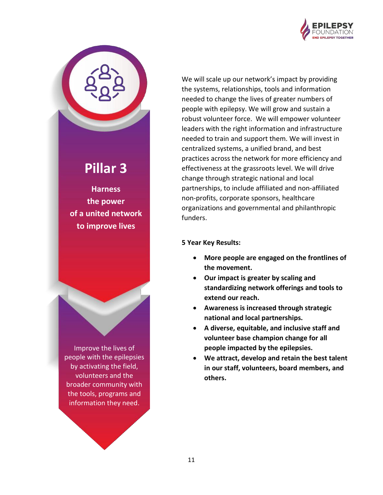

**Pillar 3**

**Harness the power of a united network to improve lives**

Improve the lives of people with the epilepsies by activating the field, volunteers and the broader community with the tools, programs and information they need.

We will scale up our network's impact by providing the systems, relationships, tools and information needed to change the lives of greater numbers of people with epilepsy. We will grow and sustain a robust volunteer force. We will empower volunteer leaders with the right information and infrastructure needed to train and support them. We will invest in centralized systems, a unified brand, and best practices across the network for more efficiency and effectiveness at the grassroots level. We will drive change through strategic national and local partnerships, to include affiliated and non-affiliated non-profits, corporate sponsors, healthcare organizations and governmental and philanthropic funders.

- **More people are engaged on the frontlines of the movement.**
- **Our impact is greater by scaling and standardizing network offerings and tools to extend our reach.**
- **Awareness is increased through strategic national and local partnerships.**
- **A diverse, equitable, and inclusive staff and volunteer base champion change for all people impacted by the epilepsies.**
- **We attract, develop and retain the best talent in our staff, volunteers, board members, and others.**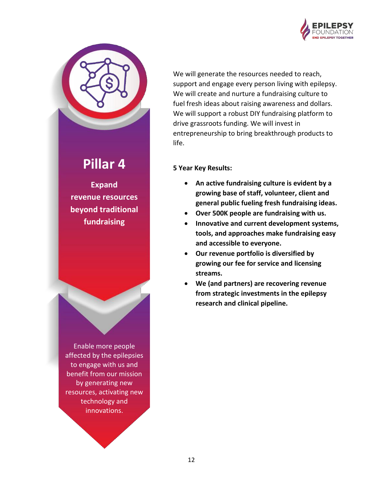



# **Pillar 4**

**Expand revenue resources beyond traditional fundraising**

Enable more people affected by the epilepsies to engage with us and benefit from our mission by generating new resources, activating new technology and innovations.

We will generate the resources needed to reach, support and engage every person living with epilepsy. We will create and nurture a fundraising culture to fuel fresh ideas about raising awareness and dollars. We will support a robust DIY fundraising platform to drive grassroots funding. We will invest in entrepreneurship to bring breakthrough products to life.

- **An active fundraising culture is evident by a growing base of staff, volunteer, client and general public fueling fresh fundraising ideas.**
- **Over 500K people are fundraising with us.**
- **Innovative and current development systems, tools, and approaches make fundraising easy and accessible to everyone.**
- **Our revenue portfolio is diversified by growing our fee for service and licensing streams.**
- **We (and partners) are recovering revenue from strategic investments in the epilepsy research and clinical pipeline.**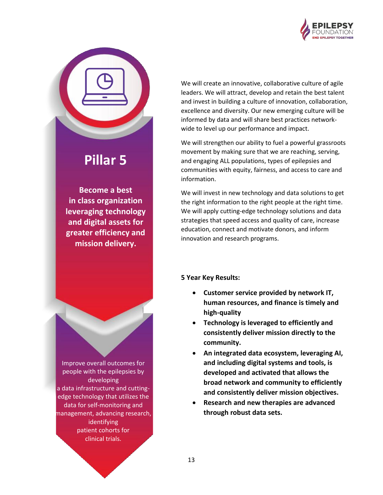

# **Pillar 5**

**Become a best in class organization leveraging technology and digital assets for greater efficiency and mission delivery.** 

Improve overall outcomes for people with the epilepsies by developing a data infrastructure and cuttingedge technology that utilizes the data for self-monitoring and management, advancing research, identifying patient cohorts for clinical trials.

We will create an innovative, collaborative culture of agile leaders. We will attract, develop and retain the best talent and invest in building a culture of innovation, collaboration, excellence and diversity. Our new emerging culture will be informed by data and will share best practices networkwide to level up our performance and impact.

We will strengthen our ability to fuel a powerful grassroots movement by making sure that we are reaching, serving, and engaging ALL populations, types of epilepsies and communities with equity, fairness, and access to care and information.

We will invest in new technology and data solutions to get the right information to the right people at the right time. We will apply cutting-edge technology solutions and data strategies that speed access and quality of care, increase education, connect and motivate donors, and inform innovation and research programs.

- **Customer service provided by network IT, human resources, and finance is timely and high-quality**
- **Technology is leveraged to efficiently and consistently deliver mission directly to the community.**
- **An integrated data ecosystem, leveraging AI, and including digital systems and tools, is developed and activated that allows the broad network and community to efficiently and consistently deliver mission objectives.**
- **Research and new therapies are advanced through robust data sets.**